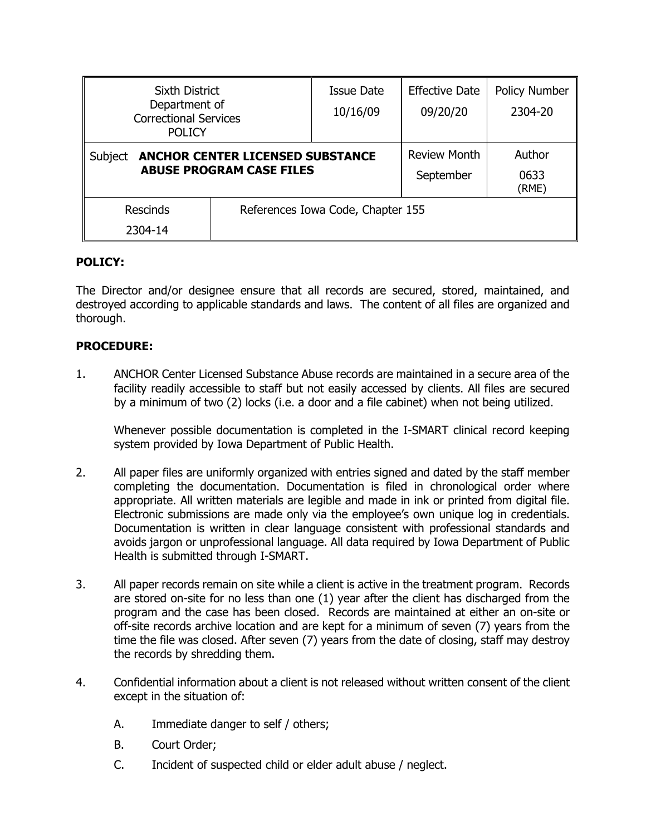| <b>Sixth District</b><br>Department of<br><b>Correctional Services</b><br><b>POLICY</b> |                                   | Issue Date          | <b>Effective Date</b> | Policy Number |
|-----------------------------------------------------------------------------------------|-----------------------------------|---------------------|-----------------------|---------------|
|                                                                                         |                                   | 10/16/09            | 09/20/20              | 2304-20       |
|                                                                                         |                                   |                     |                       |               |
| <b>ANCHOR CENTER LICENSED SUBSTANCE</b><br>Subject<br><b>ABUSE PROGRAM CASE FILES</b>   |                                   | <b>Review Month</b> | Author                |               |
|                                                                                         |                                   |                     | September             | 0633<br>(RME) |
| <b>Rescinds</b>                                                                         | References Iowa Code, Chapter 155 |                     |                       |               |
| 2304-14                                                                                 |                                   |                     |                       |               |

## **POLICY:**

The Director and/or designee ensure that all records are secured, stored, maintained, and destroyed according to applicable standards and laws. The content of all files are organized and thorough.

## **PROCEDURE:**

1. ANCHOR Center Licensed Substance Abuse records are maintained in a secure area of the facility readily accessible to staff but not easily accessed by clients. All files are secured by a minimum of two (2) locks (i.e. a door and a file cabinet) when not being utilized.

Whenever possible documentation is completed in the I-SMART clinical record keeping system provided by Iowa Department of Public Health.

- 2. All paper files are uniformly organized with entries signed and dated by the staff member completing the documentation. Documentation is filed in chronological order where appropriate. All written materials are legible and made in ink or printed from digital file. Electronic submissions are made only via the employee's own unique log in credentials. Documentation is written in clear language consistent with professional standards and avoids jargon or unprofessional language. All data required by Iowa Department of Public Health is submitted through I-SMART.
- 3. All paper records remain on site while a client is active in the treatment program. Records are stored on-site for no less than one (1) year after the client has discharged from the program and the case has been closed. Records are maintained at either an on-site or off-site records archive location and are kept for a minimum of seven (7) years from the time the file was closed. After seven (7) years from the date of closing, staff may destroy the records by shredding them.
- 4. Confidential information about a client is not released without written consent of the client except in the situation of:
	- A. Immediate danger to self / others;
	- B. Court Order;
	- C. Incident of suspected child or elder adult abuse / neglect.